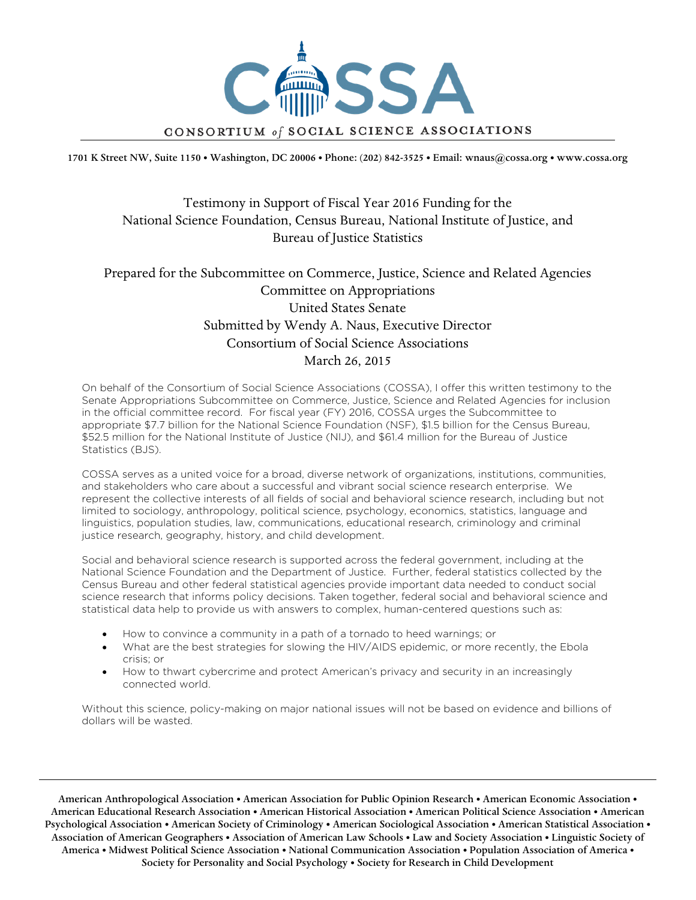

1701 K Street NW, Suite 1150 • Washington, DC 20006 • Phone: (202) 842-3525 • Email: wnaus@cossa.org • www.cossa.org

# Testimony in Support of Fiscal Year 2016 Funding for the National Science Foundation, Census Bureau, National Institute of Justice, and Bureau of Justice Statistics

# Prepared for the Subcommittee on Commerce, Justice, Science and Related Agencies Committee on Appropriations United States Senate Submitted by Wendy A. Naus, Executive Director Consortium of Social Science Associations March 26, 2015

On behalf of the Consortium of Social Science Associations (COSSA), I offer this written testimony to the Senate Appropriations Subcommittee on Commerce, Justice, Science and Related Agencies for inclusion in the official committee record. For fiscal year (FY) 2016, COSSA urges the Subcommittee to appropriate \$7.7 billion for the National Science Foundation (NSF), \$1.5 billion for the Census Bureau, \$52.5 million for the National Institute of Justice (NIJ), and \$61.4 million for the Bureau of Justice Statistics (BJS).

COSSA serves as a united voice for a broad, diverse network of organizations, institutions, communities, and stakeholders who care about a successful and vibrant social science research enterprise. We represent the collective interests of all fields of social and behavioral science research, including but not limited to sociology, anthropology, political science, psychology, economics, statistics, language and linguistics, population studies, law, communications, educational research, criminology and criminal justice research, geography, history, and child development.

Social and behavioral science research is supported across the federal government, including at the National Science Foundation and the Department of Justice. Further, federal statistics collected by the Census Bureau and other federal statistical agencies provide important data needed to conduct social science research that informs policy decisions. Taken together, federal social and behavioral science and statistical data help to provide us with answers to complex, human-centered questions such as:

- How to convince a community in a path of a tornado to heed warnings; or
- What are the best strategies for slowing the HIV/AIDS epidemic, or more recently, the Ebola crisis; or
- How to thwart cybercrime and protect American's privacy and security in an increasingly connected world.

Without this science, policy-making on major national issues will not be based on evidence and billions of dollars will be wasted.

American Anthropological Association • American Association for Public Opinion Research • American Economic Association • American Educational Research Association • American Historical Association • American Political Science Association • American Psychological Association • American Society of Criminology • American Sociological Association • American Statistical Association • Association of American Geographers • Association of American Law Schools • Law and Society Association • Linguistic Society of America • Midwest Political Science Association • National Communication Association • Population Association of America • Society for Personality and Social Psychology • Society for Research in Child Development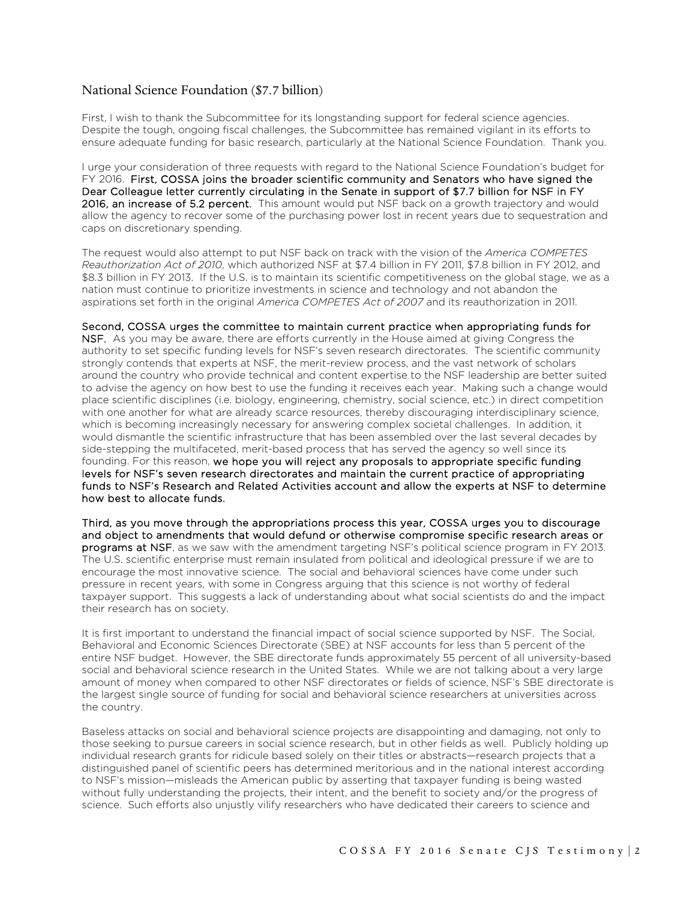### National Science Foundation (\$7.7 billion)

First, I wish to thank the Subcommittee for its longstanding support for federal science agencies. Despite the tough, ongoing fiscal challenges, the Subcommittee has remained vigilant in its efforts to ensure adequate funding for basic research, particularly at the National Science Foundation. Thank you.

I urge your consideration of three requests with regard to the National Science Foundation's budget for FY 2016. First, COSSA joins the broader scientific community and Senators who have signed the Dear Colleague letter currently circulating in the Senate in support of \$7.7 billion for NSF in FY 2016, an increase of 5.2 percent. This amount would put NSF back on a growth trajectory and would allow the agency to recover some of the purchasing power lost in recent years due to sequestration and caps on discretionary spending.

The request would also attempt to put NSF back on track with the vision of the *America COMPETES Reauthorization Act of 2010*, which authorized NSF at \$7.4 billion in FY 2011, \$7.8 billion in FY 2012, and \$8.3 billion in FY 2013. If the U.S. is to maintain its scientific competitiveness on the global stage, we as a nation must continue to prioritize investments in science and technology and not abandon the aspirations set forth in the original *America COMPETES Act of 2007* and its reauthorization in 2011.

#### Second, COSSA urges the committee to maintain current practice when appropriating funds for

NSF. As you may be aware, there are efforts currently in the House aimed at giving Congress the authority to set specific funding levels for NSF's seven research directorates. The scientific community strongly contends that experts at NSF, the merit-review process, and the vast network of scholars around the country who provide technical and content expertise to the NSF leadership are better suited to advise the agency on how best to use the funding it receives each year. Making such a change would place scientific disciplines (i.e. biology, engineering, chemistry, social science, etc.) in direct competition with one another for what are already scarce resources, thereby discouraging interdisciplinary science, which is becoming increasingly necessary for answering complex societal challenges. In addition, it would dismantle the scientific infrastructure that has been assembled over the last several decades by side-stepping the multifaceted, merit-based process that has served the agency so well since its founding. For this reason, we hope you will reject any proposals to appropriate specific funding levels for NSF's seven research directorates and maintain the current practice of appropriating funds to NSF's Research and Related Activities account and allow the experts at NSF to determine how best to allocate funds.

Third, as you move through the appropriations process this year, COSSA urges you to discourage and object to amendments that would defund or otherwise compromise specific research areas or programs at NSF, as we saw with the amendment targeting NSF's political science program in FY 2013. The U.S. scientific enterprise must remain insulated from political and ideological pressure if we are to encourage the most innovative science. The social and behavioral sciences have come under such pressure in recent years, with some in Congress arguing that this science is not worthy of federal taxpayer support. This suggests a lack of understanding about what social scientists do and the impact their research has on society.

It is first important to understand the financial impact of social science supported by NSF. The Social, Behavioral and Economic Sciences Directorate (SBE) at NSF accounts for less than 5 percent of the entire NSF budget. However, the SBE directorate funds approximately 55 percent of all university-based social and behavioral science research in the United States. While we are not talking about a very large amount of money when compared to other NSF directorates or fields of science, NSF's SBE directorate is the largest single source of funding for social and behavioral science researchers at universities across the country.

Baseless attacks on social and behavioral science projects are disappointing and damaging, not only to those seeking to pursue careers in social science research, but in other fields as well. Publicly holding up individual research grants for ridicule based solely on their titles or abstracts—research projects that a distinguished panel of scientific peers has determined meritorious and in the national interest according to NSF's mission—misleads the American public by asserting that taxpayer funding is being wasted without fully understanding the projects, their intent, and the benefit to society and/or the progress of science. Such efforts also unjustly vilify researchers who have dedicated their careers to science and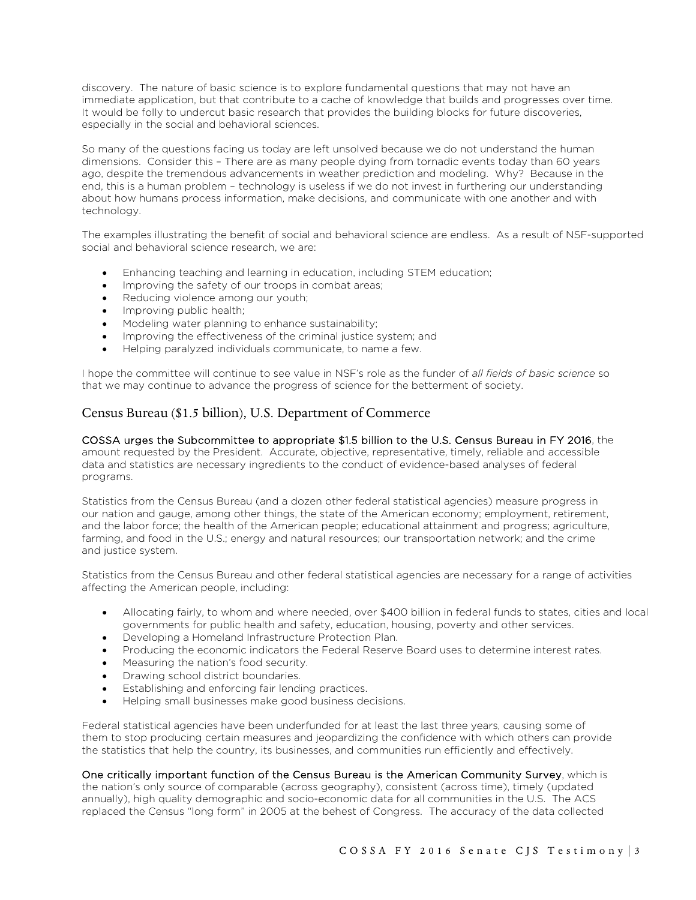discovery. The nature of basic science is to explore fundamental questions that may not have an immediate application, but that contribute to a cache of knowledge that builds and progresses over time. It would be folly to undercut basic research that provides the building blocks for future discoveries, especially in the social and behavioral sciences.

So many of the questions facing us today are left unsolved because we do not understand the human dimensions. Consider this – There are as many people dying from tornadic events today than 60 years ago, despite the tremendous advancements in weather prediction and modeling. Why? Because in the end, this is a human problem – technology is useless if we do not invest in furthering our understanding about how humans process information, make decisions, and communicate with one another and with technology.

The examples illustrating the benefit of social and behavioral science are endless. As a result of NSF-supported social and behavioral science research, we are:

- Enhancing teaching and learning in education, including STEM education;
- Improving the safety of our troops in combat areas;
- Reducing violence among our youth;
- Improving public health;
- Modeling water planning to enhance sustainability;
- Improving the effectiveness of the criminal justice system; and
- Helping paralyzed individuals communicate, to name a few.

I hope the committee will continue to see value in NSF's role as the funder of *all fields of basic science* so that we may continue to advance the progress of science for the betterment of society.

### Census Bureau (\$1.5 billion), U.S. Department of Commerce

COSSA urges the Subcommittee to appropriate \$1.5 billion to the U.S. Census Bureau in FY 2016, the amount requested by the President. Accurate, objective, representative, timely, reliable and accessible data and statistics are necessary ingredients to the conduct of evidence-based analyses of federal programs.

Statistics from the Census Bureau (and a dozen other federal statistical agencies) measure progress in our nation and gauge, among other things, the state of the American economy; employment, retirement, and the labor force; the health of the American people; educational attainment and progress; agriculture, farming, and food in the U.S.; energy and natural resources; our transportation network; and the crime and justice system.

Statistics from the Census Bureau and other federal statistical agencies are necessary for a range of activities affecting the American people, including:

- Allocating fairly, to whom and where needed, over \$400 billion in federal funds to states, cities and local governments for public health and safety, education, housing, poverty and other services.
- Developing a Homeland Infrastructure Protection Plan.
- Producing the economic indicators the Federal Reserve Board uses to determine interest rates.
- Measuring the nation's food security.
- Drawing school district boundaries.
- Establishing and enforcing fair lending practices.
- Helping small businesses make good business decisions.

Federal statistical agencies have been underfunded for at least the last three years, causing some of them to stop producing certain measures and jeopardizing the confidence with which others can provide the statistics that help the country, its businesses, and communities run efficiently and effectively.

One critically important function of the Census Bureau is the American Community Survey, which is the nation's only source of comparable (across geography), consistent (across time), timely (updated annually), high quality demographic and socio-economic data for all communities in the U.S. The ACS replaced the Census "long form" in 2005 at the behest of Congress. The accuracy of the data collected